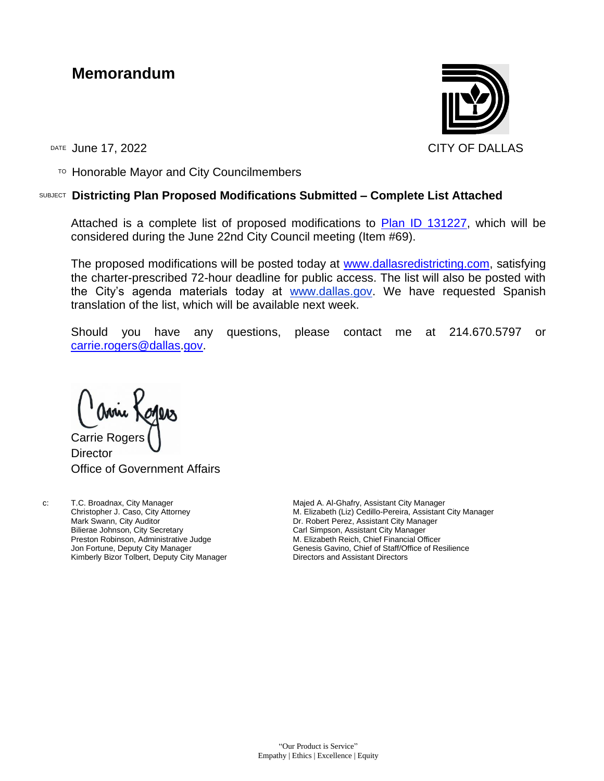## **Memorandum**



TO Honorable Mayor and City Councilmembers

## SUBJECT **Districting Plan Proposed Modifications Submitted – Complete List Attached**

Attached is a complete list of proposed modifications to [Plan ID 131227,](https://districtr.org/plan/131227) which will be considered during the June 22nd City Council meeting (Item #69).

The proposed modifications will be posted today at [www.dallasredistricting.com,](http://www.dallasredistricting.com/) satisfying the charter-prescribed 72-hour deadline for public access. The list will also be posted with the City's agenda materials today at [www.dallas.g](http://www.dallas.c/)ov. We have requested Spanish translation of the list, which will be available next week.

Should you have any questions, please contact me at 214.670.5797 or [carrie.rogers@dallas.](mailto:carrie.rogers@dallas)gov.

Carrie Roger **Director** 

Office of Government Affairs

c: T.C. Broadnax, City Manager Christopher J. Caso, City Attorney Mark Swann, City Auditor Bilierae Johnson, City Secretary Preston Robinson, Administrative Judge Jon Fortune, Deputy City Manager Kimberly Bizor Tolbert, Deputy City Manager

Majed A. Al-Ghafry, Assistant City Manager M. Elizabeth (Liz) Cedillo-Pereira, Assistant City Manager Dr. Robert Perez, Assistant City Manager Carl Simpson, Assistant City Manager M. Elizabeth Reich, Chief Financial Officer Genesis Gavino, Chief of Staff/Office of Resilience Directors and Assistant Directors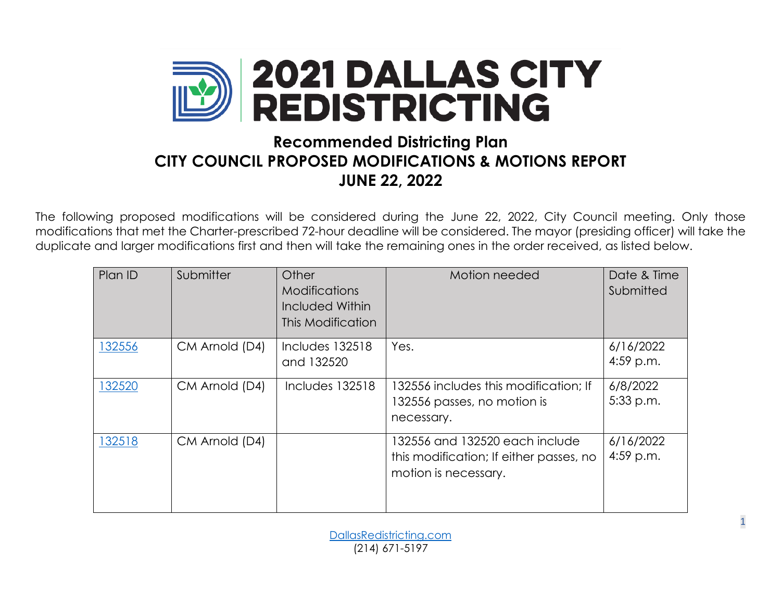

## **Recommended Districting Plan CITY COUNCIL PROPOSED MODIFICATIONS & MOTIONS REPORT JUNE 22, 2022**

The following proposed modifications will be considered during the June 22, 2022, City Council meeting. Only those modifications that met the Charter-prescribed 72-hour deadline will be considered. The mayor (presiding officer) will take the duplicate and larger modifications first and then will take the remaining ones in the order received, as listed below.

| Plan ID | Submitter      | Other<br><b>Modifications</b><br>Included Within<br>This Modification | Motion needed                                                                                     | Date & Time<br>Submitted |
|---------|----------------|-----------------------------------------------------------------------|---------------------------------------------------------------------------------------------------|--------------------------|
| 132556  | CM Arnold (D4) | Includes 132518<br>and 132520                                         | Yes.                                                                                              | 6/16/2022<br>$4:59$ p.m. |
| 132520  | CM Arnold (D4) | Includes 132518                                                       | 132556 includes this modification; If<br>132556 passes, no motion is<br>necessary.                | 6/8/2022<br>5:33 p.m.    |
| 132518  | CM Arnold (D4) |                                                                       | 132556 and 132520 each include<br>this modification; If either passes, no<br>motion is necessary. | 6/16/2022<br>$4:59$ p.m. |